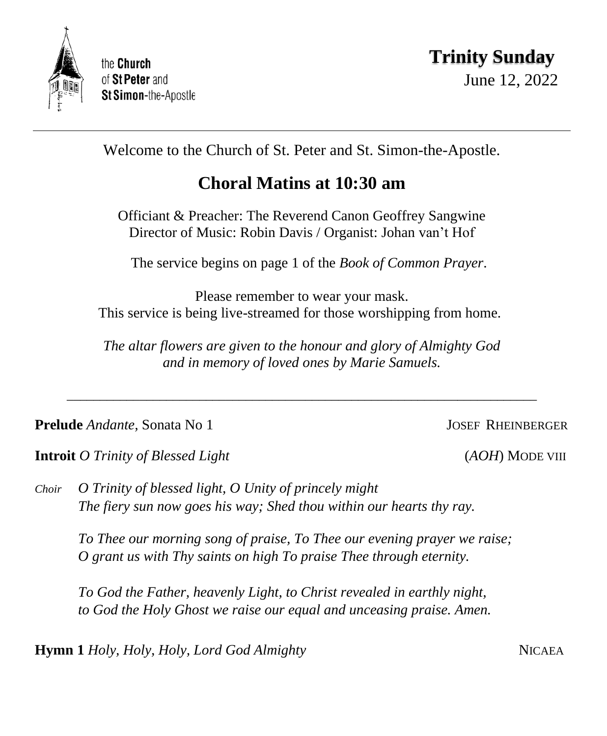

Welcome to the Church of St. Peter and St. Simon-the-Apostle.

# **Choral Matins at 10:30 am**

Officiant & Preacher: The Reverend Canon Geoffrey Sangwine Director of Music: Robin Davis / Organist: Johan van't Hof

The service begins on page 1 of the *Book of Common Prayer*.

Please remember to wear your mask. This service is being live-streamed for those worshipping from home.

*The altar flowers are given to the honour and glory of Almighty God and in memory of loved ones by Marie Samuels.*

\_\_\_\_\_\_\_\_\_\_\_\_\_\_\_\_\_\_\_\_\_\_\_\_\_\_\_\_\_\_\_\_\_\_\_\_\_\_\_\_\_\_\_\_\_\_\_\_\_\_\_\_\_\_\_\_\_\_\_\_\_\_\_\_\_\_\_\_\_\_\_

**Prelude** *Andante*, Sonata No 1<sup>*Max 10 JOSEF RHEINBERGER*</sup>

**Introit** *O Trinity of Blessed Light* (*AOH*) MODE VIII

*Choir O Trinity of blessed light, O Unity of princely might The fiery sun now goes his way; Shed thou within our hearts thy ray.* 

*To Thee our morning song of praise, To Thee our evening prayer we raise; O grant us with Thy saints on high To praise Thee through eternity.*

*To God the Father, heavenly Light, to Christ revealed in earthly night, to God the Holy Ghost we raise our equal and unceasing praise. Amen.*

**Hymn 1** *Holy, Holy, Holy, Lord God Almighty* **NICAEA**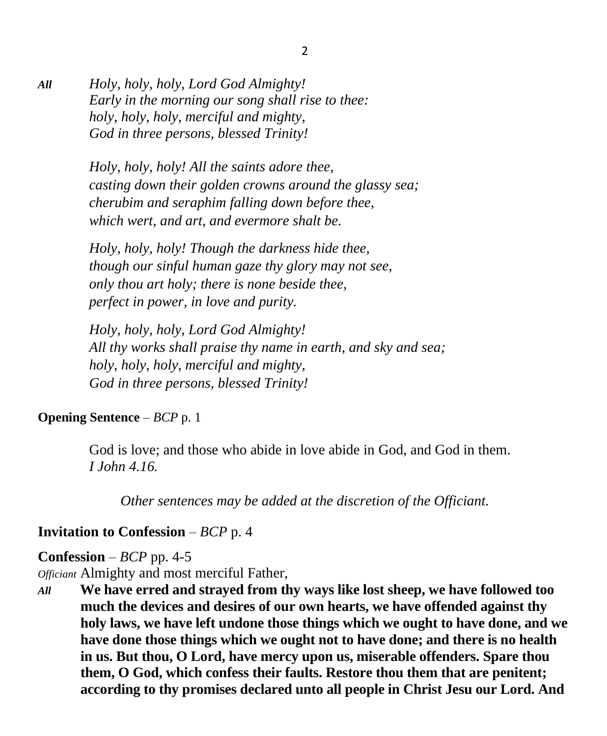*All Holy, holy, holy, Lord God Almighty! Early in the morning our song shall rise to thee: holy, holy, holy, merciful and mighty, God in three persons, blessed Trinity!*

> *Holy, holy, holy! All the saints adore thee, casting down their golden crowns around the glassy sea; cherubim and seraphim falling down before thee, which wert, and art, and evermore shalt be.*

*Holy, holy, holy! Though the darkness hide thee, though our sinful human gaze thy glory may not see, only thou art holy; there is none beside thee, perfect in power, in love and purity.*

*Holy, holy, holy, Lord God Almighty! All thy works shall praise thy name in earth, and sky and sea; holy, holy, holy, merciful and mighty, God in three persons, blessed Trinity!*

#### **Opening Sentence** – *BCP* p. 1

God is love; and those who abide in love abide in God, and God in them. *I John 4.16.*

*Other sentences may be added at the discretion of the Officiant.*

### **Invitation to Confession** – *BCP* p. 4

### **Confession** – *BCP* pp. 4-5

*Officiant* Almighty and most merciful Father,

*All* **We have erred and strayed from thy ways like lost sheep, we have followed too much the devices and desires of our own hearts, we have offended against thy holy laws, we have left undone those things which we ought to have done, and we have done those things which we ought not to have done; and there is no health in us. But thou, O Lord, have mercy upon us, miserable offenders. Spare thou them, O God, which confess their faults. Restore thou them that are penitent; according to thy promises declared unto all people in Christ Jesu our Lord. And**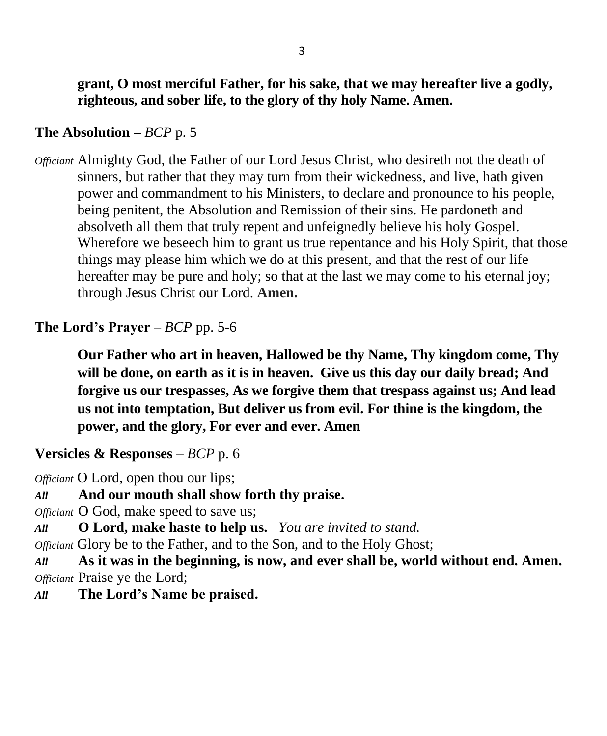### **The Absolution –** *BCP* p. 5

*Officiant* Almighty God, the Father of our Lord Jesus Christ, who desireth not the death of sinners, but rather that they may turn from their wickedness, and live, hath given power and commandment to his Ministers, to declare and pronounce to his people, being penitent, the Absolution and Remission of their sins. He pardoneth and absolveth all them that truly repent and unfeignedly believe his holy Gospel. Wherefore we beseech him to grant us true repentance and his Holy Spirit, that those things may please him which we do at this present, and that the rest of our life hereafter may be pure and holy; so that at the last we may come to his eternal joy; through Jesus Christ our Lord. **Amen.**

### **The Lord's Prayer**  $-$  *BCP* pp. 5-6

**Our Father who art in heaven, Hallowed be thy Name, Thy kingdom come, Thy will be done, on earth as it is in heaven. Give us this day our daily bread; And forgive us our trespasses, As we forgive them that trespass against us; And lead us not into temptation, But deliver us from evil. For thine is the kingdom, the power, and the glory, For ever and ever. Amen**

### **Versicles & Responses** – *BCP* p. 6

*Officiant* O Lord, open thou our lips;

*All* **And our mouth shall show forth thy praise.**

*Officiant* O God, make speed to save us;

*All* **O Lord, make haste to help us.** *You are invited to stand.*

*Officiant* Glory be to the Father, and to the Son, and to the Holy Ghost;

*All* **As it was in the beginning, is now, and ever shall be, world without end. Amen.** *Officiant* Praise ye the Lord;

*All* **The Lord's Name be praised.**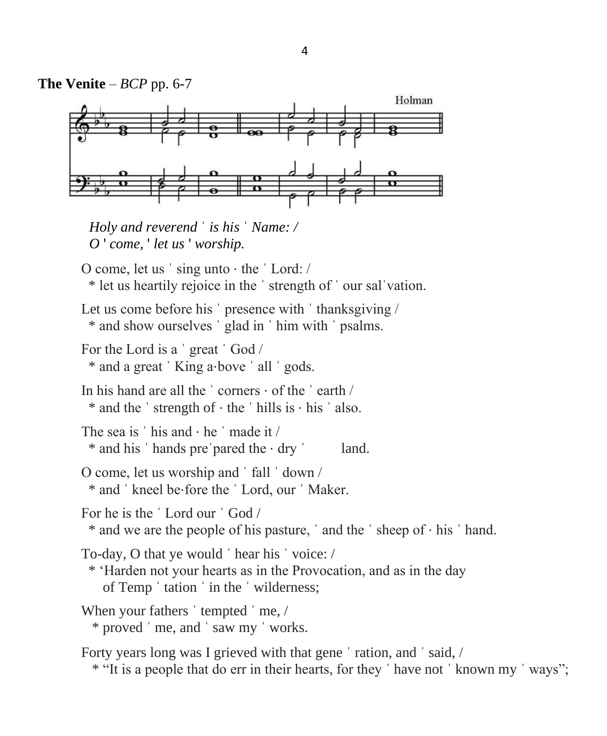

*Holy and reverend* ˈ *is his* ˈ *Name: / O* ' *come,* ' *let us* ' *worship.*

O come, let us ˈ sing unto ⋅ the ˈ Lord: / \* let us heartily rejoice in the ˈ strength of ˈ our salˈvation.

Let us come before his ' presence with ' thanksgiving / \* and show ourselves ˈ glad in ˈ him with ˈ psalms.

For the Lord is a ˈ great ˈ God /

\* and a great ˈ King a⋅bove ˈ all ˈ gods.

In his hand are all the  $\cdot$  corners  $\cdot$  of the  $\cdot$  earth  $\prime$ \* and the ˈ strength of ⋅ the ˈ hills is ⋅ his ˈ also.

The sea is  $'$  his and  $\cdot$  he  $'$  made it  $/$ \* and his ˈ hands preˈpared the ⋅ dry ˈ land.

O come, let us worship and ˈ fall ˈ down / \* and ˈ kneel be⋅fore the ˈ Lord, our ˈ Maker.

For he is the ˈ Lord our ˈ God /

\* and we are the people of his pasture, ˈ and the ˈ sheep of ⋅ his ˈ hand.

To-day, O that ye would ˈ hear his ˈ voice: /

 \* 'Harden not your hearts as in the Provocation, and as in the day of Temp ˈ tation ˈ in the ˈ wilderness;

When your fathers 'tempted 'me, / \* proved ˈ me, and ˈ saw my ˈ works.

Forty years long was I grieved with that gene 'ration, and 'said, /

\* "It is a people that do err in their hearts, for they ˈ have not ˈ known my ˈ ways";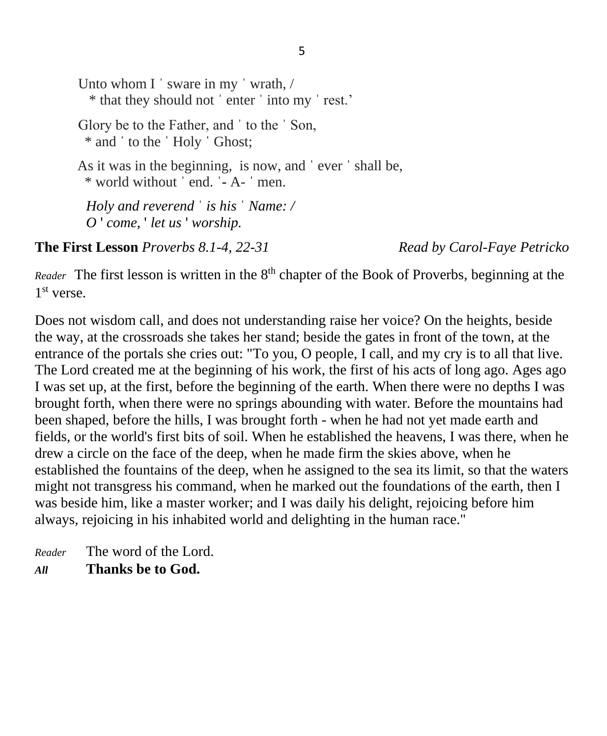Unto whom I ' sware in my ' wrath, / \* that they should not ˈ enter ˈ into my ˈ rest.' Glory be to the Father, and ˈ to the ˈ Son, \* and ˈ to the ˈ Holy ˈ Ghost; As it was in the beginning, is now, and ˈ ever ˈ shall be, \* world without ˈ end. ˈ- A- ˈ men. *Holy and reverend* ˈ *is his* ˈ *Name: / O* ' *come,* ' *let us* ' *worship.*

**The First Lesson** *Proverbs 8.1-4, 22-31 Read by Carol-Faye Petricko*

Reader The first lesson is written in the 8<sup>th</sup> chapter of the Book of Proverbs, beginning at the 1 st verse.

Does not wisdom call, and does not understanding raise her voice? On the heights, beside the way, at the crossroads she takes her stand; beside the gates in front of the town, at the entrance of the portals she cries out: "To you, O people, I call, and my cry is to all that live. The Lord created me at the beginning of his work, the first of his acts of long ago. Ages ago I was set up, at the first, before the beginning of the earth. When there were no depths I was brought forth, when there were no springs abounding with water. Before the mountains had been shaped, before the hills, I was brought forth - when he had not yet made earth and fields, or the world's first bits of soil. When he established the heavens, I was there, when he drew a circle on the face of the deep, when he made firm the skies above, when he established the fountains of the deep, when he assigned to the sea its limit, so that the waters might not transgress his command, when he marked out the foundations of the earth, then I was beside him, like a master worker; and I was daily his delight, rejoicing before him always, rejoicing in his inhabited world and delighting in the human race."

*Reader* The word of the Lord. *All* **Thanks be to God.**

5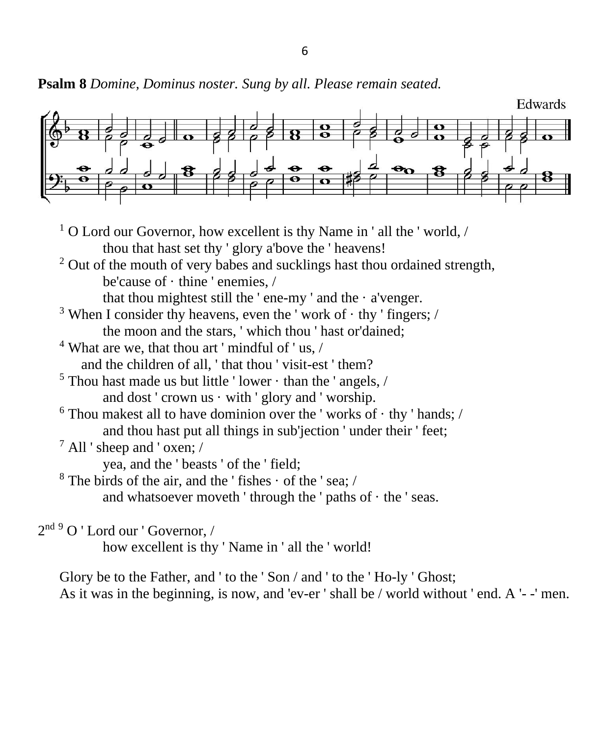**Psalm 8** *Domine, Dominus noster. Sung by all. Please remain seated.*



- $1$  O Lord our Governor, how excellent is thy Name in ' all the ' world, / thou that hast set thy ' glory a'bove the ' heavens!
- $2$  Out of the mouth of very babes and sucklings hast thou ordained strength, be'cause of · thine ' enemies, /

that thou mightest still the 'ene-my ' and the  $\cdot$  a'venger.

- <sup>3</sup> When I consider thy heavens, even the 'work of  $\cdot$  thy ' fingers; / the moon and the stars, ' which thou ' hast or'dained;
- $4$  What are we, that thou art ' mindful of ' us,  $\ell$ and the children of all, ' that thou ' visit-est ' them?
- $5$  Thou hast made us but little 'lower  $\cdot$  than the 'angels, / and dost ' crown us  $\cdot$  with ' glory and ' worship.
- $6$  Thou makest all to have dominion over the 'works of  $\cdot$  thy ' hands; / and thou hast put all things in sub'jection ' under their ' feet;
- $^7$  All ' sheep and ' oxen; /

yea, and the ' beasts ' of the ' field;

 $8$  The birds of the air, and the ' fishes  $\cdot$  of the ' sea; /

and whatsoever moveth 'through the ' paths of  $\cdot$  the ' seas.

2<sup>nd 9</sup> O ' Lord our ' Governor, /

how excellent is thy ' Name in ' all the ' world!

Glory be to the Father, and ' to the ' Son / and ' to the ' Ho-ly ' Ghost; As it was in the beginning, is now, and 'ev-er ' shall be / world without ' end. A '- -' men.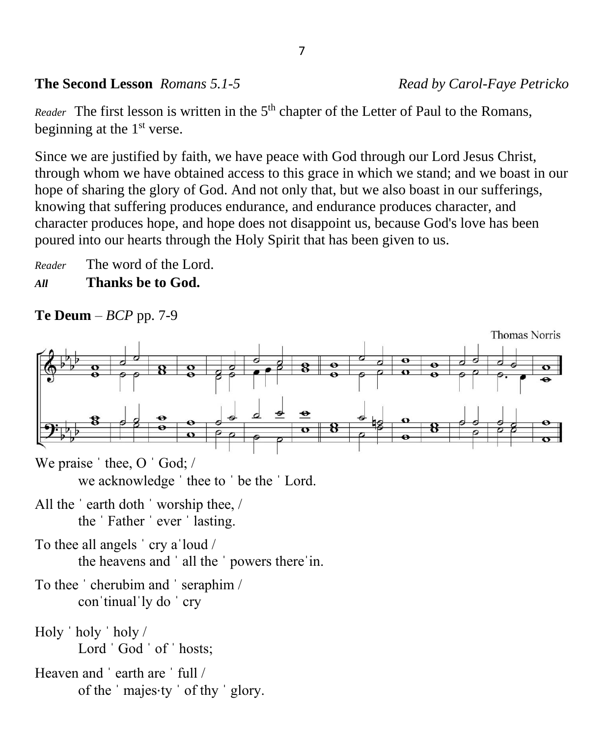### **The Second Lesson** *Romans 5.1-5 Read by Carol-Faye Petricko*

Reader The first lesson is written in the 5<sup>th</sup> chapter of the Letter of Paul to the Romans, beginning at the  $1<sup>st</sup>$  verse.

Since we are justified by faith, we have peace with God through our Lord Jesus Christ, through whom we have obtained access to this grace in which we stand; and we boast in our hope of sharing the glory of God. And not only that, but we also boast in our sufferings, knowing that suffering produces endurance, and endurance produces character, and character produces hope, and hope does not disappoint us, because God's love has been poured into our hearts through the Holy Spirit that has been given to us.

*Reader* The word of the Lord. *All* **Thanks be to God.**

**Te Deum** – *BCP* pp. 7-9



we acknowledge ˈ thee to ˈ be the ˈ Lord.

All the ˈ earth doth ˈ worship thee, / the ˈ Father ˈ ever ˈ lasting.

To thee all angels ' cry a loud / the heavens and ˈ all the ˈ powers thereˈin.

- To thee ˈ cherubim and ˈ seraphim / conˈtinualˈly do ˈ cry
- Holy ˈ holy ˈ holy / Lord ' God ' of ' hosts;

Heaven and 'earth are ' full / of the ' majes⋅ty ' of thy ' glory.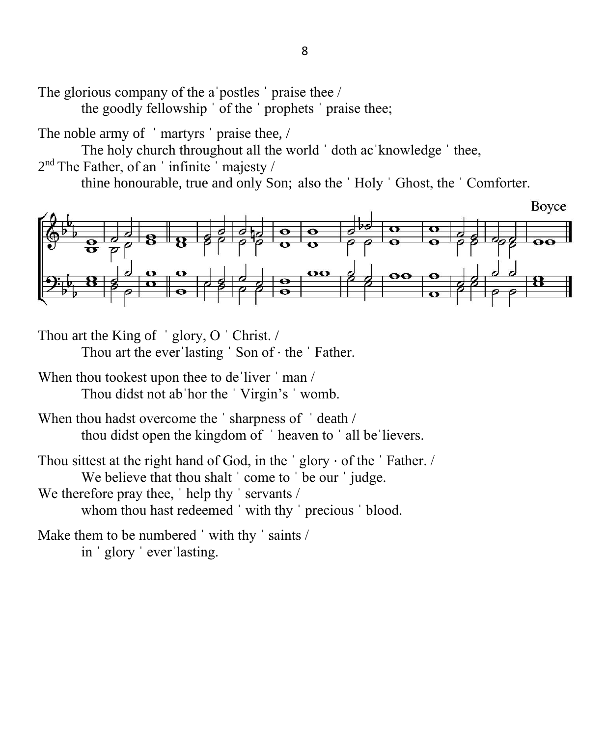The glorious company of the a postles ' praise thee /

the goodly fellowship ˈ of the ˈ prophets ˈ praise thee;

The noble army of 'martyrs' praise thee, /

The holy church throughout all the world 'doth ac'knowledge ' thee,

 $2<sup>nd</sup>$  The Father, of an 'infinite 'majesty /

thine honourable, true and only Son; also the ˈ Holy ˈ Ghost, the ˈ Comforter.



Thou art the King of 'glory, O 'Christ. /

Thou art the ever lasting 'Son of  $\cdot$  the 'Father.

When thou tookest upon thee to de'liver 'man / Thou didst not abˈhor the ˈ Virgin's ˈ womb.

When thou hadst overcome the 'sharpness of 'death / thou didst open the kingdom of ˈ heaven to ˈ all beˈlievers.

Thou sittest at the right hand of God, in the  $\prime$  glory  $\cdot$  of the  $\prime$  Father. / We believe that thou shalt ' come to ' be our ' judge. We therefore pray thee, 'help thy ' servants / whom thou hast redeemed 'with thy ' precious ' blood.

Make them to be numbered 'with thy ' saints / in ˈ glory ˈ everˈlasting.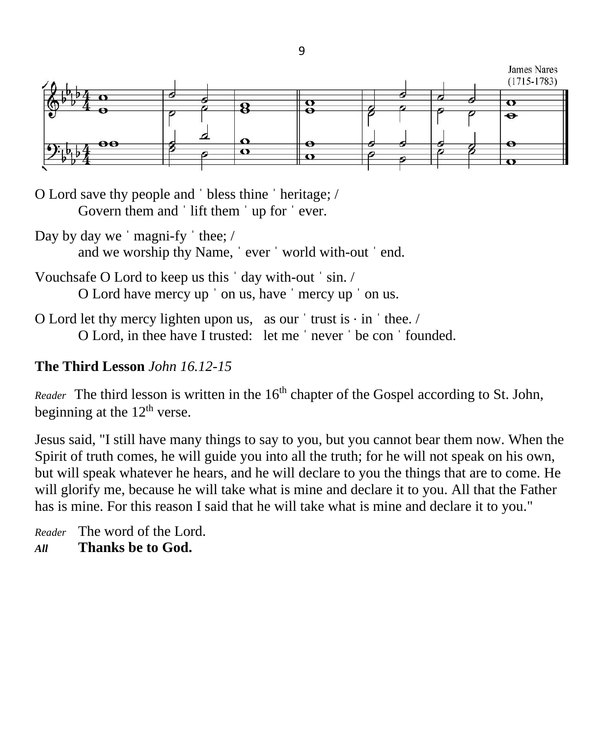

9

O Lord save thy people and ˈ bless thine ˈ heritage; / Govern them and 'lift them 'up for 'ever.

Day by day we 'magni-fy ' thee; / and we worship thy Name, ˈ ever ˈ world with-out ˈ end.

- Vouchsafe O Lord to keep us this ˈ day with-out ˈ sin. / O Lord have mercy up ˈ on us, have ˈ mercy up ˈ on us.
- O Lord let thy mercy lighten upon us, as our  $'$  trust is  $\cdot$  in  $'$  thee. / O Lord, in thee have I trusted: let me ˈ never ˈ be con ˈ founded.

# **The Third Lesson** *John 16.12-15*

*Reader* The third lesson is written in the 16<sup>th</sup> chapter of the Gospel according to St. John, beginning at the  $12<sup>th</sup>$  verse.

Jesus said, "I still have many things to say to you, but you cannot bear them now. When the Spirit of truth comes, he will guide you into all the truth; for he will not speak on his own, but will speak whatever he hears, and he will declare to you the things that are to come. He will glorify me, because he will take what is mine and declare it to you. All that the Father has is mine. For this reason I said that he will take what is mine and declare it to you."

*Reader* The word of the Lord. *All* **Thanks be to God.**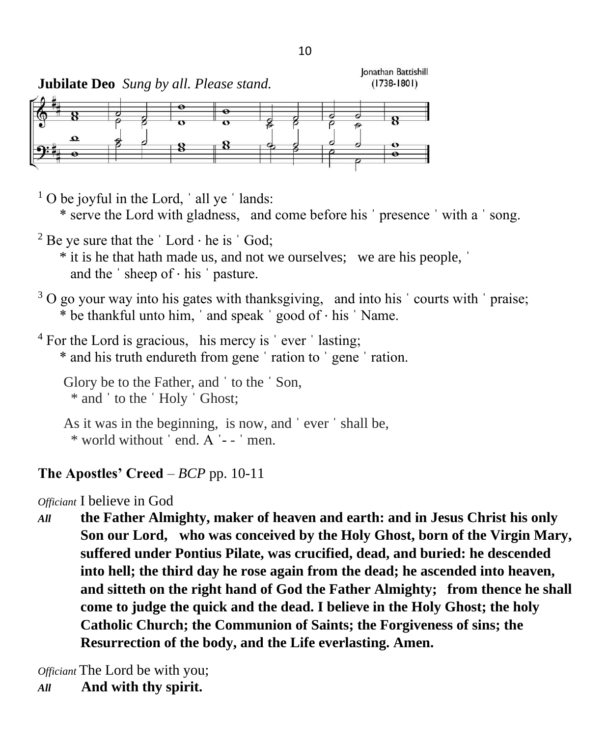

 $1$  O be joyful in the Lord,  $\dot{\ }$  all ye  $\dot{\ }$  lands: \* serve the Lord with gladness, and come before his ˈ presence ˈ with a ˈ song. <sup>2</sup> Be ye sure that the  $\lceil$  Lord  $\cdot$  he is  $\lceil$  God; \* it is he that hath made us, and not we ourselves; we are his people, ˈ and the  $\cdot$  sheep of  $\cdot$  his  $\cdot$  pasture.  $3$  O go your way into his gates with thanksgiving, and into his  $\prime$  courts with  $\prime$  praise; \* be thankful unto him, ' and speak ' good of ⋅ his ' Name.  $4$  For the Lord is gracious, his mercy is  $\degree$  ever  $\degree$  lasting; \* and his truth endureth from gene ˈ ration to ˈ gene ˈ ration. Glory be to the Father, and ˈ to the ˈ Son, \* and ˈ to the ˈ Holy ˈ Ghost; As it was in the beginning, is now, and ˈ ever ˈ shall be, \* world without ˈ end. A ˈ- - ˈ men. **The Apostles' Creed** – *BCP* pp. 10-11

*Officiant* I believe in God

*All* **the Father Almighty, maker of heaven and earth: and in Jesus Christ his only Son our Lord, who was conceived by the Holy Ghost, born of the Virgin Mary, suffered under Pontius Pilate, was crucified, dead, and buried: he descended into hell; the third day he rose again from the dead; he ascended into heaven, and sitteth on the right hand of God the Father Almighty; from thence he shall come to judge the quick and the dead. I believe in the Holy Ghost; the holy Catholic Church; the Communion of Saints; the Forgiveness of sins; the Resurrection of the body, and the Life everlasting. Amen.**

*Officiant* The Lord be with you; *All* **And with thy spirit.**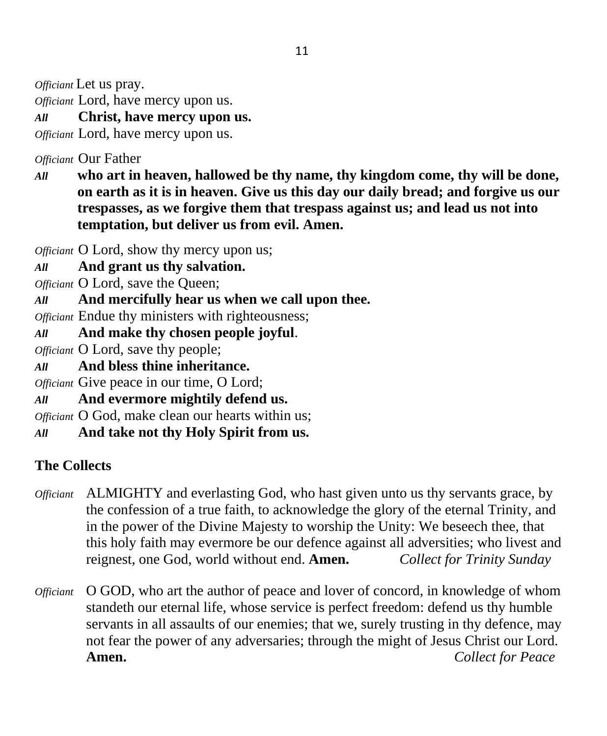*Officiant* Let us pray.

*Officiant* Lord, have mercy upon us.

*All* **Christ, have mercy upon us.**

*Officiant* Lord, have mercy upon us.

*Officiant* Our Father

*All* **who art in heaven, hallowed be thy name, thy kingdom come, thy will be done, on earth as it is in heaven. Give us this day our daily bread; and forgive us our trespasses, as we forgive them that trespass against us; and lead us not into temptation, but deliver us from evil. Amen.**

*Officiant* O Lord, show thy mercy upon us;

*All* **And grant us thy salvation.**

*Officiant* O Lord, save the Queen;

*All* **And mercifully hear us when we call upon thee.**

*Officiant* Endue thy ministers with righteousness;

*All* **And make thy chosen people joyful**.

*Officiant* O Lord, save thy people;

*All* **And bless thine inheritance.**

*Officiant* Give peace in our time, O Lord;

*All* **And evermore mightily defend us.**

*Officiant* O God, make clean our hearts within us;

*All* **And take not thy Holy Spirit from us.**

# **The Collects**

- *Officiant* ALMIGHTY and everlasting God, who hast given unto us thy servants grace, by the confession of a true faith, to acknowledge the glory of the eternal Trinity, and in the power of the Divine Majesty to worship the Unity: We beseech thee, that this holy faith may evermore be our defence against all adversities; who livest and reignest, one God, world without end. **Amen.** *Collect for Trinity Sunday*
- *Officiant* O GOD, who art the author of peace and lover of concord, in knowledge of whom standeth our eternal life, whose service is perfect freedom: defend us thy humble servants in all assaults of our enemies; that we, surely trusting in thy defence, may not fear the power of any adversaries; through the might of Jesus Christ our Lord. **Amen.** *Collect for Peace*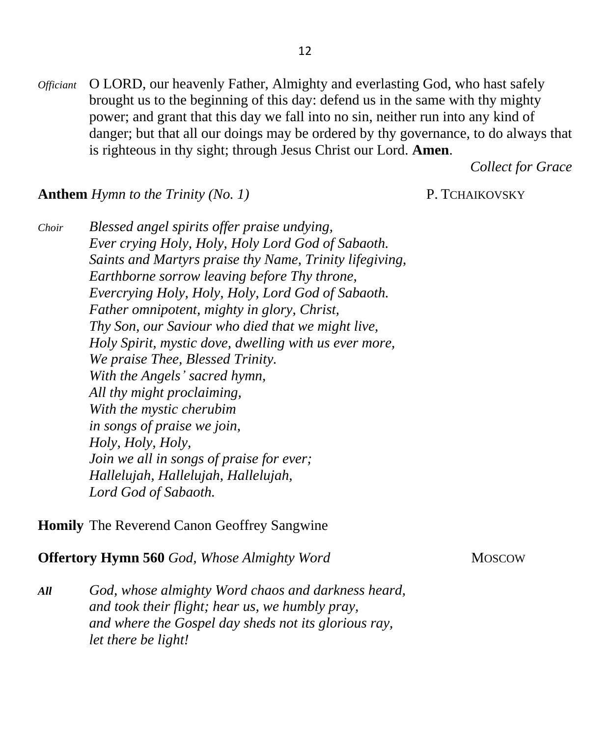*Officiant* O LORD, our heavenly Father, Almighty and everlasting God, who hast safely brought us to the beginning of this day: defend us in the same with thy mighty power; and grant that this day we fall into no sin, neither run into any kind of danger; but that all our doings may be ordered by thy governance, to do always that is righteous in thy sight; through Jesus Christ our Lord. **Amen**.

*Collect for Grace*

#### **Anthem** *Hymn to the Trinity (No. 1)* **P. TCHAIKOVSKY**

*Choir Blessed angel spirits offer praise undying, Ever crying Holy, Holy, Holy Lord God of Sabaoth. Saints and Martyrs praise thy Name, Trinity lifegiving, Earthborne sorrow leaving before Thy throne, Evercrying Holy, Holy, Holy, Lord God of Sabaoth. Father omnipotent, mighty in glory, Christ, Thy Son, our Saviour who died that we might live, Holy Spirit, mystic dove, dwelling with us ever more, We praise Thee, Blessed Trinity. With the Angels' sacred hymn, All thy might proclaiming, With the mystic cherubim in songs of praise we join, Holy, Holy, Holy, Join we all in songs of praise for ever; Hallelujah, Hallelujah, Hallelujah, Lord God of Sabaoth.*

**Homily** The Reverend Canon Geoffrey Sangwine

**Offertory Hymn 560** *God, Whose Almighty Word* MOSCOW

*All God, whose almighty Word chaos and darkness heard, and took their flight; hear us, we humbly pray, and where the Gospel day sheds not its glorious ray, let there be light!*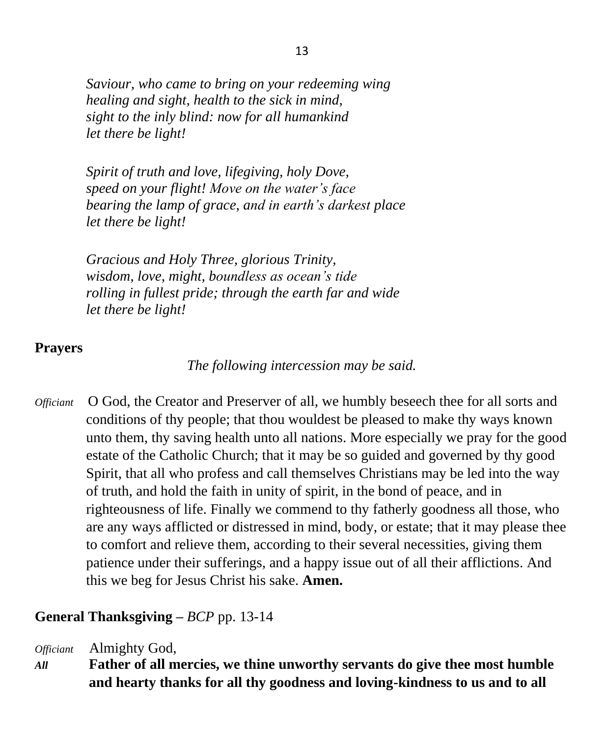*Saviour, who came to bring on your redeeming wing healing and sight, health to the sick in mind, sight to the inly blind: now for all humankind let there be light!*

*Spirit of truth and love, lifegiving, holy Dove, speed on your flight! Move on the water's face bearing the lamp of grace, and in earth's darkest place let there be light!*

*Gracious and Holy Three, glorious Trinity, wisdom, love, might, boundless as ocean's tide rolling in fullest pride; through the earth far and wide let there be light!*

### **Prayers**

*The following intercession may be said.*

*Officiant* O God, the Creator and Preserver of all, we humbly beseech thee for all sorts and conditions of thy people; that thou wouldest be pleased to make thy ways known unto them, thy saving health unto all nations. More especially we pray for the good estate of the Catholic Church; that it may be so guided and governed by thy good Spirit, that all who profess and call themselves Christians may be led into the way of truth, and hold the faith in unity of spirit, in the bond of peace, and in righteousness of life. Finally we commend to thy fatherly goodness all those, who are any ways afflicted or distressed in mind, body, or estate; that it may please thee to comfort and relieve them, according to their several necessities, giving them patience under their sufferings, and a happy issue out of all their afflictions. And this we beg for Jesus Christ his sake. **Amen.**

## **General Thanksgiving –** *BCP* pp. 13-14

*Officiant* Almighty God,

*All* **Father of all mercies, we thine unworthy servants do give thee most humble and hearty thanks for all thy goodness and loving-kindness to us and to all**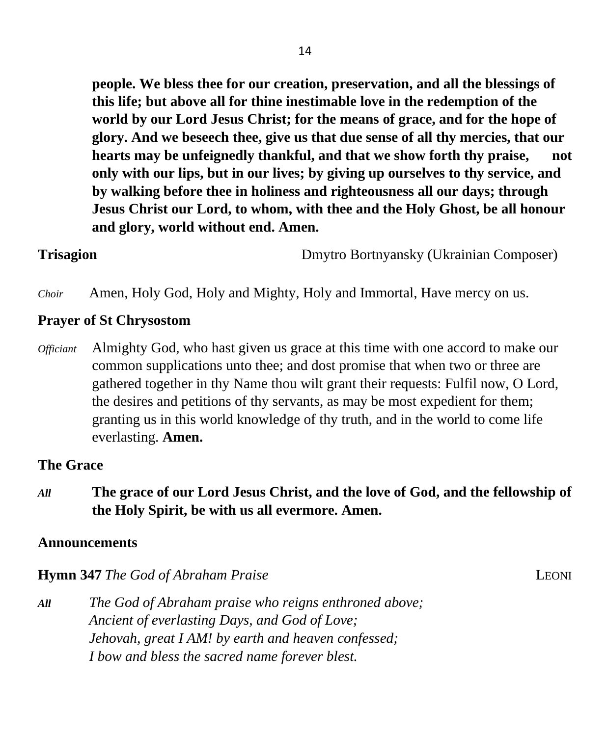**people. We bless thee for our creation, preservation, and all the blessings of this life; but above all for thine inestimable love in the redemption of the world by our Lord Jesus Christ; for the means of grace, and for the hope of glory. And we beseech thee, give us that due sense of all thy mercies, that our hearts may be unfeignedly thankful, and that we show forth thy praise, not only with our lips, but in our lives; by giving up ourselves to thy service, and by walking before thee in holiness and righteousness all our days; through Jesus Christ our Lord, to whom, with thee and the Holy Ghost, be all honour and glory, world without end. Amen.**

**Trisagion** Dmytro Bortnyansky (Ukrainian Composer)

*Choir* Amen, Holy God, Holy and Mighty, Holy and Immortal, Have mercy on us.

### **Prayer of St Chrysostom**

*Officiant* Almighty God, who hast given us grace at this time with one accord to make our common supplications unto thee; and dost promise that when two or three are gathered together in thy Name thou wilt grant their requests: Fulfil now, O Lord, the desires and petitions of thy servants, as may be most expedient for them; granting us in this world knowledge of thy truth, and in the world to come life everlasting. **Amen.**

### **The Grace**

*All* **The grace of our Lord Jesus Christ, and the love of God, and the fellowship of the Holy Spirit, be with us all evermore. Amen.**

### **Announcements**

**Hymn 347** *The God of Abraham Praise* LEONI

*All The God of Abraham praise who reigns enthroned above; Ancient of everlasting Days, and God of Love; Jehovah, great I AM! by earth and heaven confessed; I bow and bless the sacred name forever blest.*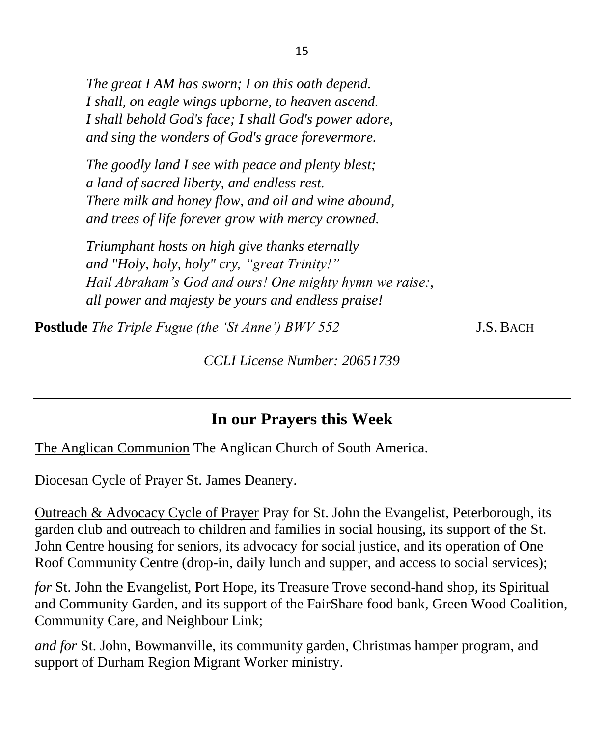*The great I AM has sworn; I on this oath depend. I shall, on eagle wings upborne, to heaven ascend. I shall behold God's face; I shall God's power adore, and sing the wonders of God's grace forevermore.*

*The goodly land I see with peace and plenty blest; a land of sacred liberty, and endless rest. There milk and honey flow, and oil and wine abound, and trees of life forever grow with mercy crowned.*

*Triumphant hosts on high give thanks eternally and "Holy, holy, holy" cry, "great Trinity!" Hail Abraham's God and ours! One mighty hymn we raise:, all power and majesty be yours and endless praise!*

**Postlude** *The Triple Fugue (the 'St Anne') BWV 552* J.S. BACH

*CCLI License Number: 20651739*

# **In our Prayers this Week**

The Anglican Communion The Anglican Church of South America.

Diocesan Cycle of Prayer St. James Deanery.

Outreach & Advocacy Cycle of Prayer Pray for St. John the Evangelist, Peterborough, its garden club and outreach to children and families in social housing, its support of the St. John Centre housing for seniors, its advocacy for social justice, and its operation of One Roof Community Centre (drop-in, daily lunch and supper, and access to social services);

*for* St. John the Evangelist, Port Hope, its Treasure Trove second-hand shop, its Spiritual and Community Garden, and its support of the FairShare food bank, Green Wood Coalition, Community Care, and Neighbour Link;

*and for* St. John, Bowmanville, its community garden, Christmas hamper program, and support of Durham Region Migrant Worker ministry.